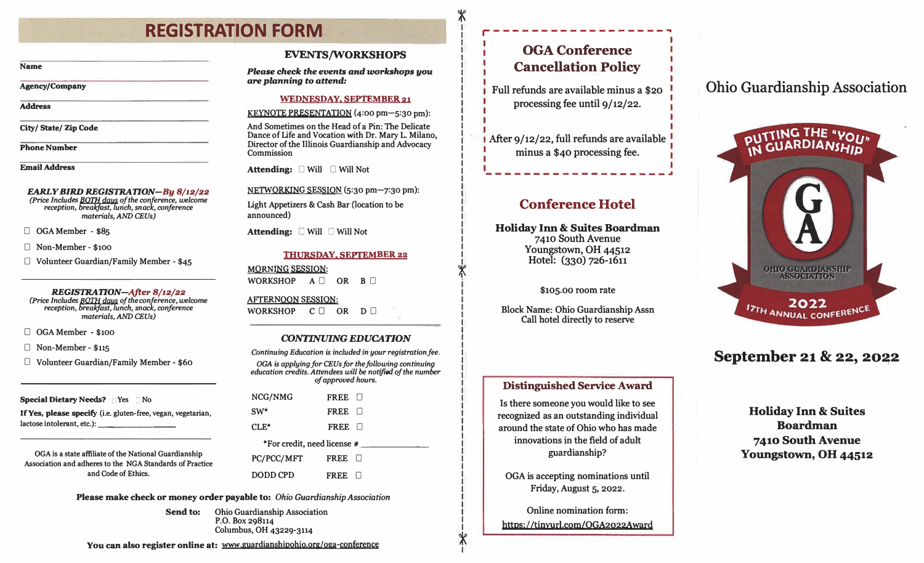# **REGISTRATION FORM**

#### **Name**

**Agency/Company** 

**Address** 

**City/ State/ Zip Code** 

**Phone Number** 

**Email Address** 

# *EARLY BIRD REGISTRATION-By 8/12/22*

*(Price Includes B0111 days of the conference, welcome reception, breakfast, lunch, snack, conference materials, AND CEUs)* 

**0 OGA Member - \$85** 

**D Non-Member - \$100** 

**D Volunteer Guardian/Family Member - \$45** 

*REGISTRATION-After 8/12/22 (Price Includes BOTH days of the conference, welcome reception, breakfast, lunch, snack, conference materials, AND CEUs)* 

**0 OGA Member - \$100** 

**D Non-Member - \$115** 

**D Volunteer Guardian/Family Member - \$60** 

**Special Dietary Needs?** PYes <sup>No</sup>

**If Yes, please specify (i.e. gluten-free, vegan, vegetarian, lactose intolerant, etc.): \_\_\_\_\_\_\_\_ \_** 

**OGA is a state affiliate of the National Guardianship Association and adheres to the NGA Standards of Practice and Code of Ethics.** 

**EVENTS/WORKSHOPS** 

*Please check the events* **and** *workshops you are planning to attend:* 

#### **WEDNESDAY, SEPTEMBER 21**

**KEYNOTE PRESENTATION (4:00 pm-5:30 pm):** 

**And Sometimes on the Head of a Pin: The Delicate Dance of Life and Vocation with Dr. Mary L. Milano, Director of the Illinois Guardianship and Advocacy Commission** 

**Attending:** □ Will □ Will Not

**NETWORKING SESSION (5:30 pm-7:30 pm):** 

Light Appetizers & Cash Bar (location to be **announced)** 

**Attending:**  $\Box$  Will  $\Box$  Will Not

### **THURSDAY, SEPTEMBER 22**

**MORNING SESSION:**  WORKSHOP  $A \Box$  OR  $B \Box$ 

**AFfERNOON SESSION:**  WORKSHOP C OR D O

### *CONTINUING EDUCATION*

*Continuing Education* **is** *included* **in** *your registration fee. OGA* **is** *applying for CEUsfor the following continuing education credits. Attendees will be notified of the number of approved hours.*  **NCG/NMG SW\* CLE\* FREE 0**  FREE  $\Box$ **FREE**  $\Box$ **\*For credit, need license # \_\_\_\_\_\_\_ \_ PC/PCC/MFf DODD CPD**  FREE  $\Box$ **FREE**  $\Box$ 

**Please make check or money order payable to:** *Ohio Guardianship Association* 

**Send to: Ohio Guardianship Association P.O. Box 298114 Columbus, OH 43229-3114** 

You can also register online at: www.guardianshipohio.org/oga-conference

# -------------------� **OGA Conference Cancellation Policy**

 $\frac{1}{\sqrt{2}}$ 

 $\frac{1}{2}$ 

**Full refunds are available minus a \$20**  processing fee until  $9/12/22$ .

**After 9/12/22, full refunds are available minus a \$40 processing fee.** 

# **Conference Hotel**

**Holiday Inn & Suites Boardman 7410 South Avenue Youngstown, OH 44512 Hotel: (330) 726-1611**

**\$105.00 room rate** 

**Block Name: Ohio Guardianship Assn Call hotel directly to reserve** 

# Ohio Guardianship Association



# September 21 & 22, 2022

# **Distinguished Service Award**

**Is there someone you would like to see recognized as an outstanding individual around the state of Ohio who has made innovations in the field of adult guardianship?** 

**OGA is accepting nominations until Friday, August 5, 2022.** 

**Online nomination form:**  https: / /tinyurl.com/OGA2022Award

**Holiday Inn & Suites Boardman 7410 South Avenue Youngstown, OH 44512**